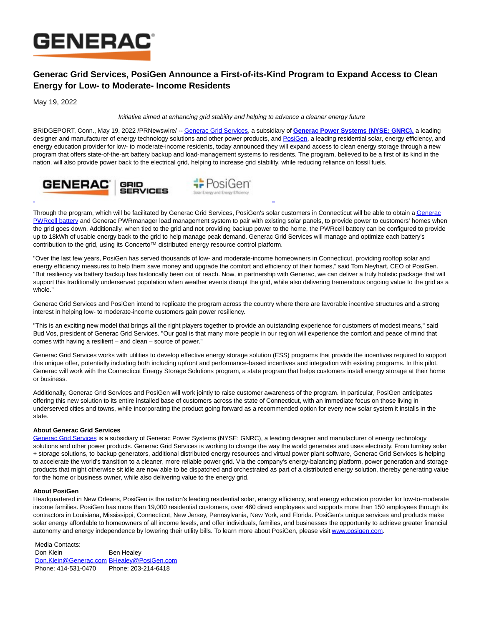

## **Generac Grid Services, PosiGen Announce a First-of-its-Kind Program to Expand Access to Clean Energy for Low- to Moderate- Income Residents**

May 19, 2022

## Initiative aimed at enhancing grid stability and helping to advance a cleaner energy future

BRIDGEPORT, Conn., May 19, 2022 /PRNewswire/ -[- Generac Grid Services,](https://c212.net/c/link/?t=0&l=en&o=3541471-1&h=542985240&u=https%3A%2F%2Fwww.enbala.com%2F&a=Generac+Grid+Services) a subsidiary of **[Generac Power Systems \(NYSE: GNRC\),](https://c212.net/c/link/?t=0&l=en&o=3541471-1&h=1294609285&u=http%3A%2F%2Fwww.generac.com%2F&a=Generac+Power+Systems+(NYSE%3A+GNRC)%2C)** a leading designer and manufacturer of energy technology solutions and other power products, an[d PosiGen,](https://c212.net/c/link/?t=0&l=en&o=3541471-1&h=3995957828&u=https%3A%2F%2Fwww.posigen.com%2F&a=PosiGen) a leading residential solar, energy efficiency, and energy education provider for low- to moderate-income residents, today announced they will expand access to clean energy storage through a new program that offers state-of-the-art battery backup and load-management systems to residents. The program, believed to be a first of its kind in the nation, will also provide power back to the electrical grid, helping to increase grid stability, while reducing reliance on fossil fuels.



Through the program, which will be facilitated by Generac Grid Services, PosiGen's solar customers in Connecticut will be able to obtain [a Generac](https://c212.net/c/link/?t=0&l=en&o=3541471-1&h=3269307282&u=https%3A%2F%2Fwww.generac.com%2Fall-products%2Fclean-energy%2Fpwrcell&a=Generac+PWRcell+battery) PWRcell battery and Generac PWRmanager load management system to pair with existing solar panels, to provide power to customers' homes when the grid goes down. Additionally, when tied to the grid and not providing backup power to the home, the PWRcell battery can be configured to provide up to 18kWh of usable energy back to the grid to help manage peak demand. Generac Grid Services will manage and optimize each battery's contribution to the grid, using its Concerto™ distributed energy resource control platform.

 $\overline{a}$ 

"Over the last few years, PosiGen has served thousands of low- and moderate-income homeowners in Connecticut, providing rooftop solar and energy efficiency measures to help them save money and upgrade the comfort and efficiency of their homes," said Tom Neyhart, CEO of PosiGen. "But resiliency via battery backup has historically been out of reach. Now, in partnership with Generac, we can deliver a truly holistic package that will support this traditionally underserved population when weather events disrupt the grid, while also delivering tremendous ongoing value to the grid as a whole."

Generac Grid Services and PosiGen intend to replicate the program across the country where there are favorable incentive structures and a strong interest in helping low- to moderate-income customers gain power resiliency.

"This is an exciting new model that brings all the right players together to provide an outstanding experience for customers of modest means," said Bud Vos, president of Generac Grid Services. "Our goal is that many more people in our region will experience the comfort and peace of mind that comes with having a resilient – and clean – source of power."

Generac Grid Services works with utilities to develop effective energy storage solution (ESS) programs that provide the incentives required to support this unique offer, potentially including both including upfront and performance-based incentives and integration with existing programs. In this pilot, Generac will work with the Connecticut Energy Storage Solutions program, a state program that helps customers install energy storage at their home or business.

Additionally, Generac Grid Services and PosiGen will work jointly to raise customer awareness of the program. In particular, PosiGen anticipates offering this new solution to its entire installed base of customers across the state of Connecticut, with an immediate focus on those living in underserved cities and towns, while incorporating the product going forward as a recommended option for every new solar system it installs in the state.

## **About Generac Grid Services**

[Generac Grid Services i](https://c212.net/c/link/?t=0&l=en&o=3541471-1&h=542985240&u=https%3A%2F%2Fwww.enbala.com%2F&a=Generac+Grid+Services)s a subsidiary of Generac Power Systems (NYSE: GNRC), a leading designer and manufacturer of energy technology solutions and other power products. Generac Grid Services is working to change the way the world generates and uses electricity. From turnkey solar + storage solutions, to backup generators, additional distributed energy resources and virtual power plant software, Generac Grid Services is helping to accelerate the world's transition to a cleaner, more reliable power grid. Via the company's energy-balancing platform, power generation and storage products that might otherwise sit idle are now able to be dispatched and orchestrated as part of a distributed energy solution, thereby generating value for the home or business owner, while also delivering value to the energy grid.

## **About PosiGen**

Headquartered in New Orleans, PosiGen is the nation's leading residential solar, energy efficiency, and energy education provider for low-to-moderate income families. PosiGen has more than 19,000 residential customers, over 460 direct employees and supports more than 150 employees through its contractors in Louisiana, Mississippi, Connecticut, New Jersey, Pennsylvania, New York, and Florida. PosiGen's unique services and products make solar energy affordable to homeowners of all income levels, and offer individuals, families, and businesses the opportunity to achieve greater financial autonomy and energy independence by lowering their utility bills. To learn more about PosiGen, please visi[t www.posigen.com.](https://c212.net/c/link/?t=0&l=en&o=3541471-1&h=1037230735&u=https%3A%2F%2Fnam02.safelinks.protection.outlook.com%2F%3Furl%3Dhttps%253A%252F%252Fc212.net%252Fc%252Flink%252F%253Ft%253D0%2526l%253Den%2526o%253D3404490-1%2526h%253D2175968676%2526u%253Dhttps%25253A%25252F%25252Fc212.net%25252Fc%25252Flink%25252F%25253Ft%25253D0%252526l%25253Den%252526o%25253D3144510-1%252526h%25253D1536356860%252526u%25253Dhttp%2525253A%2525252F%2525252Fwww.posigen.com%2525252F%252526a%25253Dwww.posigen.com%2526a%253Dwww.posigen.com%26data%3D05%257C01%257CDon.Klein%2540generac.com%257Cf297be3f840c4155f92608da329f8724%257C3a720757c2fd40b096eb840507006544%257C0%257C0%257C637877958022678750%257CUnknown%257CTWFpbGZsb3d8eyJWIjoiMC4wLjAwMDAiLCJQIjoiV2luMzIiLCJBTiI6Ik1haWwiLCJXVCI6Mn0%253D%257C3000%257C%257C%257C%26sdata%3DG1bjI2dfmYvtIZdesJ4Ypaa20IEWXD7GEB6ms73l1MY%253D%26reserved%3D0&a=www.posigen.com)

Media Contacts: Don Klein Ben Healey [Don.Klein@Generac.com](mailto:Don.Klein@Generac.com) [BHealey@PosiGen.com](mailto:BHealey@PosiGen.com) Phone: 414-531-0470 Phone: 203-214-6418